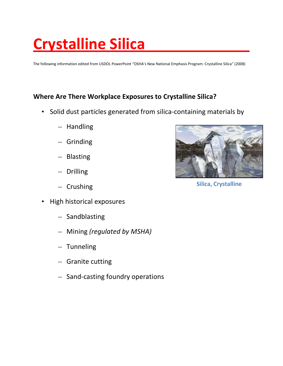# **Crystalline Silica**

The following information edited from USDOL PowerPoint "OSHA's New National Emphasis Program: Crystalline Silica" (2008)

#### **Where Are There Workplace Exposures to Crystalline Silica?**

- Solid dust particles generated from silica-containing materials by
	- Handling
	- Grinding
	- Blasting
	- Drilling
	- Crushing
- High historical exposures
	- Sandblasting
	- Mining *(regulated by MSHA)*
	- Tunneling
	- Granite cutting
	- Sand-casting foundry operations



**Silica, Crystalline**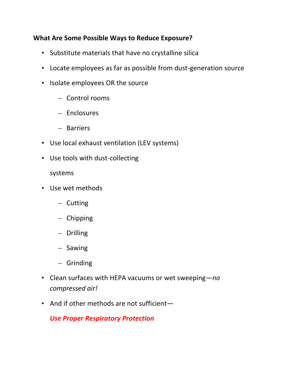### **What Are Some Possible Ways to Reduce Exposure?**

- Substitute materials that have no crystalline silica
- Locate employees as far as possible from dust-generation source
- Isolate employees OR the source
	- Control rooms
	- Enclosures
	- Barriers
- Use local exhaust ventilation (LEV systems)
- Use tools with dust-collecting
	- systems
- Use wet methods
	- Cutting
	- Chipping
	- Drilling
	- Sawing
	- Grinding
- Clean surfaces with HEPA vacuums or wet sweeping*—no compressed air!*
- And if other methods are not sufficient-

# *Use Proper Respiratory Protection*